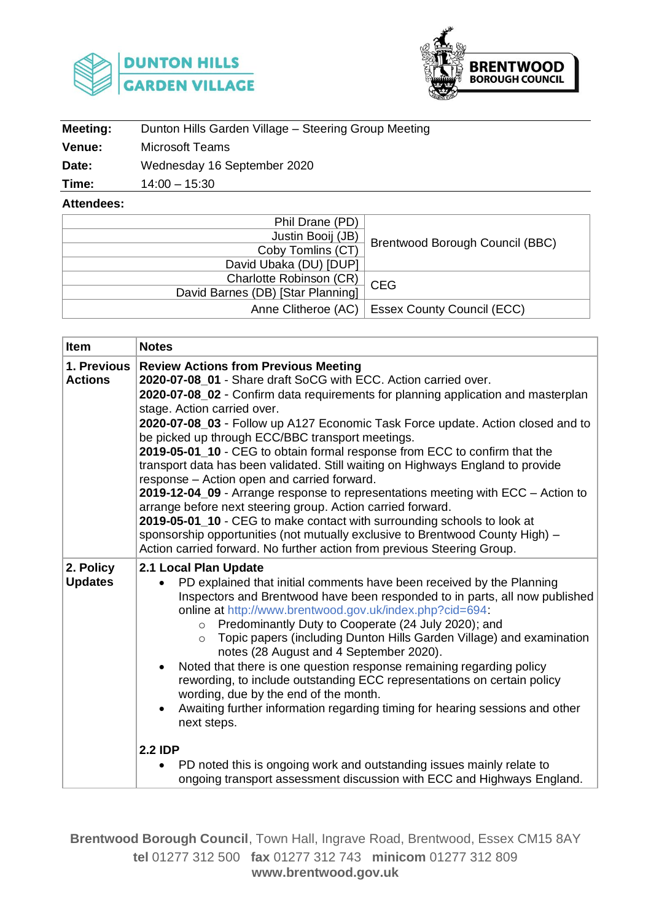



| Meeting:      | Dunton Hills Garden Village - Steering Group Meeting |
|---------------|------------------------------------------------------|
| <b>Venue:</b> | Microsoft Teams                                      |
| Date:         | Wednesday 16 September 2020                          |

**Time:** 14:00 – 15:30

**Attendees:**

| Phil Drane (PD)                   |                                                  |
|-----------------------------------|--------------------------------------------------|
| Justin Booij (JB)                 |                                                  |
| Coby Tomlins (CT)                 | Brentwood Borough Council (BBC)                  |
| David Ubaka (DU) [DUP]            |                                                  |
| Charlotte Robinson (CR)           | <b>CEG</b>                                       |
| David Barnes (DB) [Star Planning] |                                                  |
|                                   | Anne Clitheroe (AC)   Essex County Council (ECC) |

| <b>Item</b>                   | <b>Notes</b>                                                                                                                                                                                                                                                                                                                                                                                                                                                                                                                                                                                                                                                                                                                                                                                                                                                                                                                                                                        |  |  |
|-------------------------------|-------------------------------------------------------------------------------------------------------------------------------------------------------------------------------------------------------------------------------------------------------------------------------------------------------------------------------------------------------------------------------------------------------------------------------------------------------------------------------------------------------------------------------------------------------------------------------------------------------------------------------------------------------------------------------------------------------------------------------------------------------------------------------------------------------------------------------------------------------------------------------------------------------------------------------------------------------------------------------------|--|--|
| 1. Previous<br><b>Actions</b> | <b>Review Actions from Previous Meeting</b><br>2020-07-08 01 - Share draft SoCG with ECC. Action carried over.<br>2020-07-08_02 - Confirm data requirements for planning application and masterplan<br>stage. Action carried over.<br>2020-07-08_03 - Follow up A127 Economic Task Force update. Action closed and to<br>be picked up through ECC/BBC transport meetings.<br>2019-05-01_10 - CEG to obtain formal response from ECC to confirm that the<br>transport data has been validated. Still waiting on Highways England to provide<br>response - Action open and carried forward.<br>2019-12-04_09 - Arrange response to representations meeting with ECC - Action to<br>arrange before next steering group. Action carried forward.<br>2019-05-01 10 - CEG to make contact with surrounding schools to look at<br>sponsorship opportunities (not mutually exclusive to Brentwood County High) -<br>Action carried forward. No further action from previous Steering Group. |  |  |
| 2. Policy<br><b>Updates</b>   | 2.1 Local Plan Update<br>PD explained that initial comments have been received by the Planning<br>Inspectors and Brentwood have been responded to in parts, all now published<br>online at http://www.brentwood.gov.uk/index.php?cid=694:<br>Predominantly Duty to Cooperate (24 July 2020); and<br>$\circ$<br>Topic papers (including Dunton Hills Garden Village) and examination<br>$\circ$<br>notes (28 August and 4 September 2020).<br>Noted that there is one question response remaining regarding policy<br>rewording, to include outstanding ECC representations on certain policy<br>wording, due by the end of the month.<br>Awaiting further information regarding timing for hearing sessions and other<br>next steps.<br><b>2.2 IDP</b>                                                                                                                                                                                                                              |  |  |
|                               | PD noted this is ongoing work and outstanding issues mainly relate to<br>$\bullet$<br>ongoing transport assessment discussion with ECC and Highways England.                                                                                                                                                                                                                                                                                                                                                                                                                                                                                                                                                                                                                                                                                                                                                                                                                        |  |  |

**Brentwood Borough Council**, Town Hall, Ingrave Road, Brentwood, Essex CM15 8AY **tel** 01277 312 500 **fax** 01277 312 743 **minicom** 01277 312 809 **www.brentwood.gov.uk**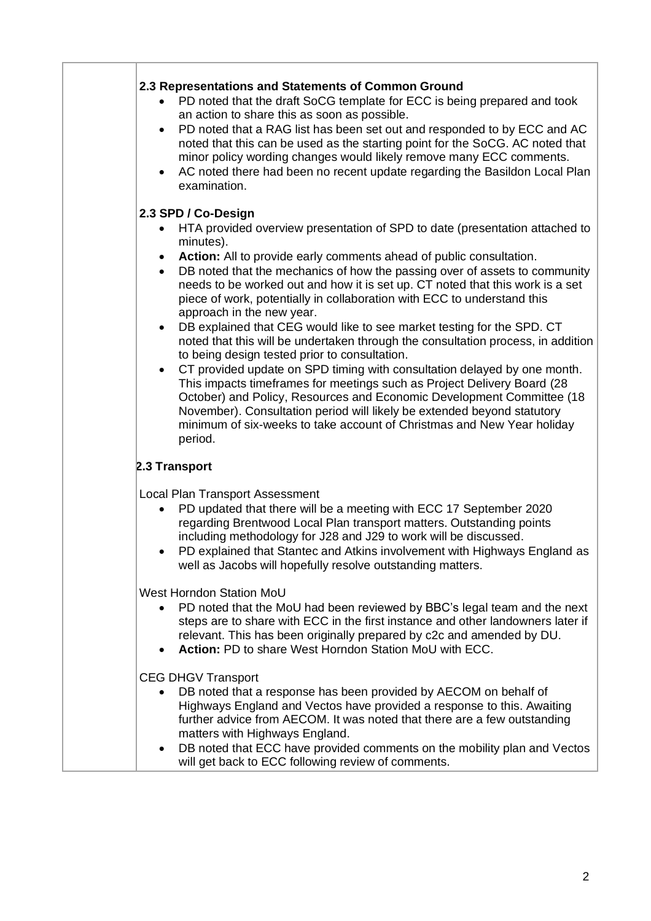| 2.3 Representations and Statements of Common Ground<br>PD noted that the draft SoCG template for ECC is being prepared and took<br>an action to share this as soon as possible.<br>PD noted that a RAG list has been set out and responded to by ECC and AC<br>$\bullet$<br>noted that this can be used as the starting point for the SoCG. AC noted that<br>minor policy wording changes would likely remove many ECC comments.<br>AC noted there had been no recent update regarding the Basildon Local Plan<br>$\bullet$<br>examination. |
|---------------------------------------------------------------------------------------------------------------------------------------------------------------------------------------------------------------------------------------------------------------------------------------------------------------------------------------------------------------------------------------------------------------------------------------------------------------------------------------------------------------------------------------------|
| 2.3 SPD / Co-Design                                                                                                                                                                                                                                                                                                                                                                                                                                                                                                                         |
| HTA provided overview presentation of SPD to date (presentation attached to<br>$\bullet$<br>minutes).                                                                                                                                                                                                                                                                                                                                                                                                                                       |
| Action: All to provide early comments ahead of public consultation.<br>$\bullet$<br>DB noted that the mechanics of how the passing over of assets to community<br>$\bullet$<br>needs to be worked out and how it is set up. CT noted that this work is a set<br>piece of work, potentially in collaboration with ECC to understand this<br>approach in the new year.                                                                                                                                                                        |
| DB explained that CEG would like to see market testing for the SPD. CT<br>$\bullet$<br>noted that this will be undertaken through the consultation process, in addition<br>to being design tested prior to consultation.                                                                                                                                                                                                                                                                                                                    |
| CT provided update on SPD timing with consultation delayed by one month.<br>$\bullet$<br>This impacts timeframes for meetings such as Project Delivery Board (28<br>October) and Policy, Resources and Economic Development Committee (18<br>November). Consultation period will likely be extended beyond statutory<br>minimum of six-weeks to take account of Christmas and New Year holiday<br>period.                                                                                                                                   |
| 2.3 Transport                                                                                                                                                                                                                                                                                                                                                                                                                                                                                                                               |
| <b>Local Plan Transport Assessment</b><br>PD updated that there will be a meeting with ECC 17 September 2020<br>$\bullet$<br>regarding Brentwood Local Plan transport matters. Outstanding points<br>including methodology for J28 and J29 to work will be discussed.<br>PD explained that Stantec and Atkins involvement with Highways England as<br>$\bullet$<br>well as Jacobs will hopefully resolve outstanding matters.                                                                                                               |
| West Horndon Station MoU<br>PD noted that the MoU had been reviewed by BBC's legal team and the next<br>steps are to share with ECC in the first instance and other landowners later if<br>relevant. This has been originally prepared by c2c and amended by DU.<br>Action: PD to share West Horndon Station MoU with ECC.<br>$\bullet$                                                                                                                                                                                                     |
| <b>CEG DHGV Transport</b><br>DB noted that a response has been provided by AECOM on behalf of<br>$\bullet$<br>Highways England and Vectos have provided a response to this. Awaiting<br>further advice from AECOM. It was noted that there are a few outstanding<br>matters with Highways England.<br>DB noted that ECC have provided comments on the mobility plan and Vectos<br>$\bullet$<br>will get back to ECC following review of comments.                                                                                           |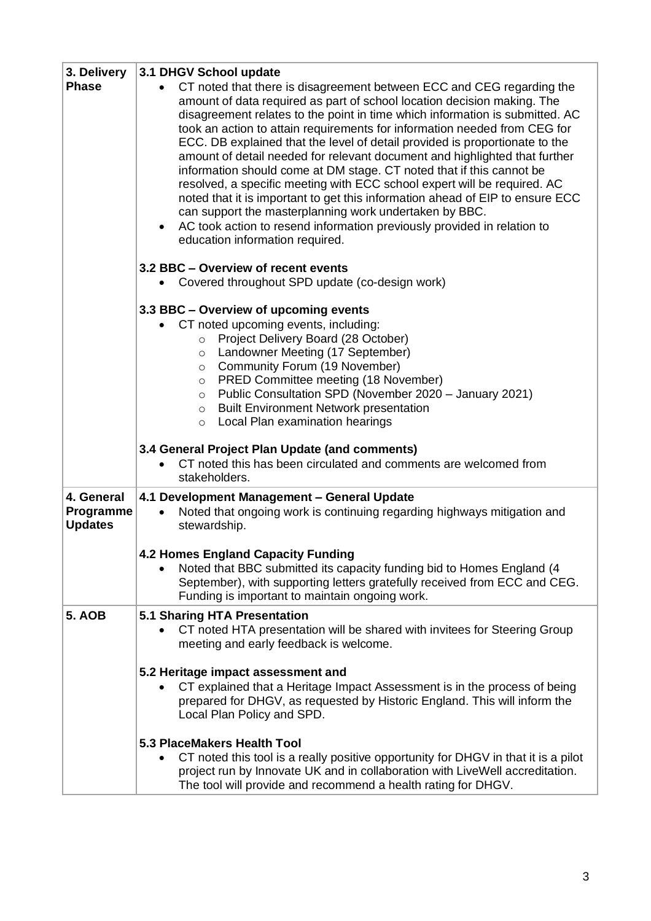| 3. Delivery<br><b>Phase</b>               | 3.1 DHGV School update<br>CT noted that there is disagreement between ECC and CEG regarding the<br>amount of data required as part of school location decision making. The<br>disagreement relates to the point in time which information is submitted. AC<br>took an action to attain requirements for information needed from CEG for<br>ECC. DB explained that the level of detail provided is proportionate to the<br>amount of detail needed for relevant document and highlighted that further<br>information should come at DM stage. CT noted that if this cannot be<br>resolved, a specific meeting with ECC school expert will be required. AC<br>noted that it is important to get this information ahead of EIP to ensure ECC<br>can support the masterplanning work undertaken by BBC.<br>AC took action to resend information previously provided in relation to<br>education information required. |  |  |  |  |
|-------------------------------------------|-------------------------------------------------------------------------------------------------------------------------------------------------------------------------------------------------------------------------------------------------------------------------------------------------------------------------------------------------------------------------------------------------------------------------------------------------------------------------------------------------------------------------------------------------------------------------------------------------------------------------------------------------------------------------------------------------------------------------------------------------------------------------------------------------------------------------------------------------------------------------------------------------------------------|--|--|--|--|
|                                           | 3.2 BBC - Overview of recent events<br>Covered throughout SPD update (co-design work)<br>$\bullet$                                                                                                                                                                                                                                                                                                                                                                                                                                                                                                                                                                                                                                                                                                                                                                                                                |  |  |  |  |
|                                           | 3.3 BBC - Overview of upcoming events<br>CT noted upcoming events, including:<br>Project Delivery Board (28 October)<br>$\circ$<br>Landowner Meeting (17 September)<br>$\circ$<br>Community Forum (19 November)<br>$\circ$<br>PRED Committee meeting (18 November)<br>$\circ$<br>Public Consultation SPD (November 2020 - January 2021)<br>$\circ$<br><b>Built Environment Network presentation</b><br>$\circ$<br>Local Plan examination hearings<br>$\circ$                                                                                                                                                                                                                                                                                                                                                                                                                                                      |  |  |  |  |
|                                           | 3.4 General Project Plan Update (and comments)<br>CT noted this has been circulated and comments are welcomed from<br>stakeholders.                                                                                                                                                                                                                                                                                                                                                                                                                                                                                                                                                                                                                                                                                                                                                                               |  |  |  |  |
| 4. General<br>Programme<br><b>Updates</b> | 4.1 Development Management - General Update<br>Noted that ongoing work is continuing regarding highways mitigation and<br>stewardship.                                                                                                                                                                                                                                                                                                                                                                                                                                                                                                                                                                                                                                                                                                                                                                            |  |  |  |  |
|                                           | <b>4.2 Homes England Capacity Funding</b><br>Noted that BBC submitted its capacity funding bid to Homes England (4<br>September), with supporting letters gratefully received from ECC and CEG.<br>Funding is important to maintain ongoing work.                                                                                                                                                                                                                                                                                                                                                                                                                                                                                                                                                                                                                                                                 |  |  |  |  |
| <b>5. AOB</b>                             | 5.1 Sharing HTA Presentation<br>CT noted HTA presentation will be shared with invitees for Steering Group<br>meeting and early feedback is welcome.                                                                                                                                                                                                                                                                                                                                                                                                                                                                                                                                                                                                                                                                                                                                                               |  |  |  |  |
|                                           | 5.2 Heritage impact assessment and<br>CT explained that a Heritage Impact Assessment is in the process of being<br>prepared for DHGV, as requested by Historic England. This will inform the<br>Local Plan Policy and SPD.                                                                                                                                                                                                                                                                                                                                                                                                                                                                                                                                                                                                                                                                                        |  |  |  |  |
|                                           | 5.3 PlaceMakers Health Tool<br>CT noted this tool is a really positive opportunity for DHGV in that it is a pilot<br>project run by Innovate UK and in collaboration with LiveWell accreditation.<br>The tool will provide and recommend a health rating for DHGV.                                                                                                                                                                                                                                                                                                                                                                                                                                                                                                                                                                                                                                                |  |  |  |  |